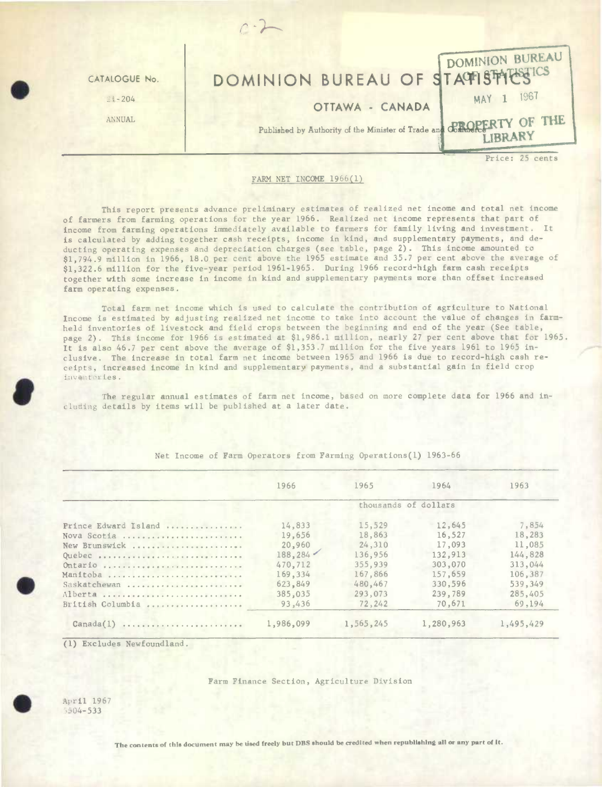

## FARM NET INCOME 1966(1)

This report presents advance preliminary estimates of realized net income and total net income of farmers from farming operations for the year 1966. Realized net income represents that part of income from farming operations immediately available to farmers for family living and investment. It is calculated by adding together cash receipts, income in kind, and supplementary payments, and deducting operating expenses and depreciation charges (see table, page 2). This income amounted to \$1,794.9 million in 1966, 18.0 per cent above the 1965 estimate and 35.7 per cent above the average of \$1,322.6 million for the five-year period 1961-1965. During 1966 record-high farm cash receipts together with some increase in income **in** kind and supplementary payments more than offset increased farm operating expenses.

Total farm net income which is used to calculate the contribution of agriculture to National Income is estimated by adjusting realized net income to take into account the value of changes in farmheld inventories of livestock and field crops between the beginning and end of the year (See table, page 2). This income for 1966 is estimated at \$1,986.1 million, nearly 27 per cent above that for 1965. It is also 46.7 per cent above the average of \$1,353.7 million for the five years 1961 to 1965 inclusive. The increase in total farm net income between 1965 and 1966 is due to record-high cash receipts, increased income in kind and supplementary payments, and a substantial gain in field crop It is also 46.7 per cent above the average of \$1,353.7 million for the five years 1961 to 1965 in-<br>clusive. The increase in total farm net income between 1965 and 1966 is due to record-high cash re-<br>ceipts, increased incom

cluding details by items will be published at a later date.

|                      | 1966                 | 1965      | 1964      | 1963      |  |  |  |
|----------------------|----------------------|-----------|-----------|-----------|--|--|--|
|                      | thousands of dollars |           |           |           |  |  |  |
| Prince Edward Island | 14,833               | 15,529    | 12,645    | 7,854     |  |  |  |
| Nova Scotia          | 19,656               | 18,863    | 16,527    | 18,283    |  |  |  |
| New Brunswick        | 20,960               | 24,310    | 17,093    | 11,085    |  |  |  |
| Quebec               | 188.284              | 136,956   | 132,913   | 144,828   |  |  |  |
| Ontario              | 470,712              | 355,939   | 303,070   | 313,044   |  |  |  |
| Manitoba             | 169,334              | 167,866   | 157,659   | 106,387   |  |  |  |
| Saskatchewan         | 623,849              | 480,467   | 330,596   | 539,349   |  |  |  |
| Alberta              | 385,035              | 293,073   | 239,789   | 285,405   |  |  |  |
| British Columbia     | 93,436               | 72,242    | 70,671    | 69.194    |  |  |  |
| Canada(1)            | 1,986,099            | 1,565,245 | 1,280,963 | 1,495,429 |  |  |  |

Net Income of Farm Operators from Farming Operations(l) 1963-66

(1) Excludes Newfoundland.

## Farm Finance Section, Agriculture Division

April <sup>1967</sup>  $5504 - 533$ 

**.** 

The contents of this document may be used freely but DBS should be credited when republishing all or any part of it.